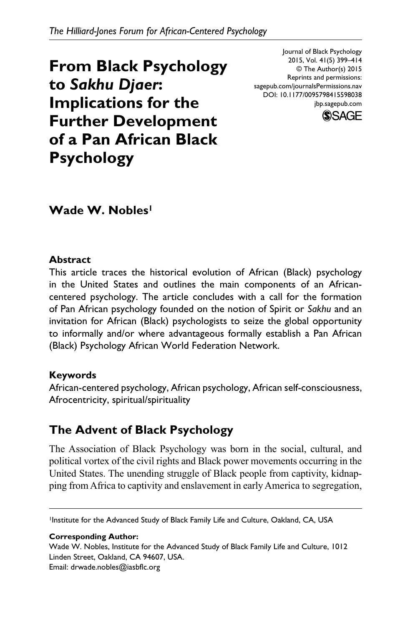**From Black Psychology to** *Sakhu Djaer***: Implications for the Further Development of a Pan African Black Psychology**

Journal of Black Psychology 2015, Vol. 41(5) 399–414 © The Author(s) 2015 Reprints and permissions: sagepub.com/journalsPermissions.nav DOI: 10.1177/0095798415598038 jbp.sagepub.com



**Wade W. Nobles1**

#### **Abstract**

This article traces the historical evolution of African (Black) psychology in the United States and outlines the main components of an Africancentered psychology. The article concludes with a call for the formation of Pan African psychology founded on the notion of Spirit or *Sakhu* and an invitation for African (Black) psychologists to seize the global opportunity to informally and/or where advantageous formally establish a Pan African (Black) Psychology African World Federation Network.

#### **Keywords**

African-centered psychology, African psychology, African self-consciousness, Afrocentricity, spiritual/spirituality

# **The Advent of Black Psychology**

The Association of Black Psychology was born in the social, cultural, and political vortex of the civil rights and Black power movements occurring in the United States. The unending struggle of Black people from captivity, kidnapping from Africa to captivity and enslavement in early America to segregation,

**Corresponding Author:**

Wade W. Nobles, Institute for the Advanced Study of Black Family Life and Culture, 1012 Linden Street, Oakland, CA 94607, USA. Email: drwade.nobles@iasbflc.org

<sup>1</sup>Institute for the Advanced Study of Black Family Life and Culture, Oakland, CA, USA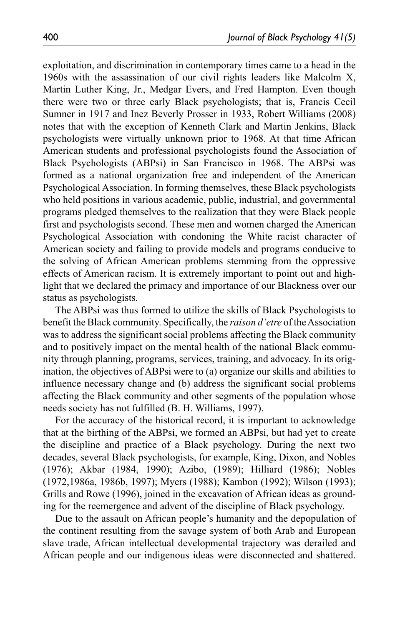exploitation, and discrimination in contemporary times came to a head in the 1960s with the assassination of our civil rights leaders like Malcolm X, Martin Luther King, Jr., Medgar Evers, and Fred Hampton. Even though there were two or three early Black psychologists; that is, Francis Cecil Sumner in 1917 and Inez Beverly Prosser in 1933, Robert Williams (2008) notes that with the exception of Kenneth Clark and Martin Jenkins, Black psychologists were virtually unknown prior to 1968. At that time African American students and professional psychologists found the Association of Black Psychologists (ABPsi) in San Francisco in 1968. The ABPsi was formed as a national organization free and independent of the American Psychological Association. In forming themselves, these Black psychologists who held positions in various academic, public, industrial, and governmental programs pledged themselves to the realization that they were Black people first and psychologists second. These men and women charged the American Psychological Association with condoning the White racist character of American society and failing to provide models and programs conducive to the solving of African American problems stemming from the oppressive effects of American racism. It is extremely important to point out and highlight that we declared the primacy and importance of our Blackness over our status as psychologists.

The ABPsi was thus formed to utilize the skills of Black Psychologists to benefit the Black community. Specifically, the *raison d'etre* of the Association was to address the significant social problems affecting the Black community and to positively impact on the mental health of the national Black community through planning, programs, services, training, and advocacy. In its origination, the objectives of ABPsi were to (a) organize our skills and abilities to influence necessary change and (b) address the significant social problems affecting the Black community and other segments of the population whose needs society has not fulfilled (B. H. Williams, 1997).

For the accuracy of the historical record, it is important to acknowledge that at the birthing of the ABPsi, we formed an ABPsi, but had yet to create the discipline and practice of a Black psychology. During the next two decades, several Black psychologists, for example, King, Dixon, and Nobles (1976); Akbar (1984, 1990); Azibo, (1989); Hilliard (1986); Nobles (1972,1986a, 1986b, 1997); Myers (1988); Kambon (1992); Wilson (1993); Grills and Rowe (1996), joined in the excavation of African ideas as grounding for the reemergence and advent of the discipline of Black psychology.

Due to the assault on African people's humanity and the depopulation of the continent resulting from the savage system of both Arab and European slave trade, African intellectual developmental trajectory was derailed and African people and our indigenous ideas were disconnected and shattered.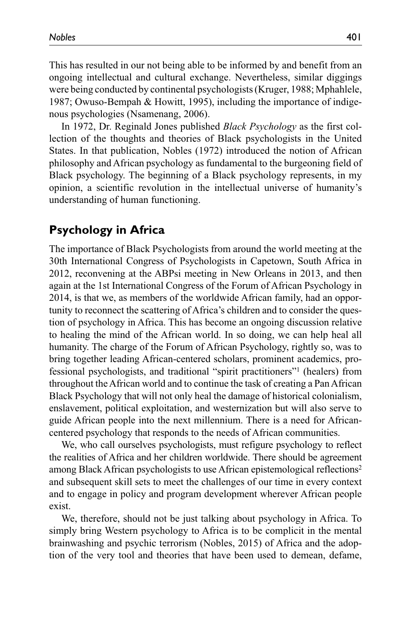This has resulted in our not being able to be informed by and benefit from an ongoing intellectual and cultural exchange. Nevertheless, similar diggings were being conducted by continental psychologists (Kruger, 1988; Mphahlele, 1987; Owuso-Bempah & Howitt, 1995), including the importance of indigenous psychologies (Nsamenang, 2006).

In 1972, Dr. Reginald Jones published *Black Psychology* as the first collection of the thoughts and theories of Black psychologists in the United States. In that publication, Nobles (1972) introduced the notion of African philosophy and African psychology as fundamental to the burgeoning field of Black psychology. The beginning of a Black psychology represents, in my opinion, a scientific revolution in the intellectual universe of humanity's understanding of human functioning.

## **Psychology in Africa**

The importance of Black Psychologists from around the world meeting at the 30th International Congress of Psychologists in Capetown, South Africa in 2012, reconvening at the ABPsi meeting in New Orleans in 2013, and then again at the 1st International Congress of the Forum of African Psychology in 2014, is that we, as members of the worldwide African family, had an opportunity to reconnect the scattering of Africa's children and to consider the question of psychology in Africa. This has become an ongoing discussion relative to healing the mind of the African world. In so doing, we can help heal all humanity. The charge of the Forum of African Psychology, rightly so, was to bring together leading African-centered scholars, prominent academics, professional psychologists, and traditional "spirit practitioners"1 (healers) from throughout the African world and to continue the task of creating a Pan African Black Psychology that will not only heal the damage of historical colonialism, enslavement, political exploitation, and westernization but will also serve to guide African people into the next millennium. There is a need for Africancentered psychology that responds to the needs of African communities.

We, who call ourselves psychologists, must refigure psychology to reflect the realities of Africa and her children worldwide. There should be agreement among Black African psychologists to use African epistemological reflections2 and subsequent skill sets to meet the challenges of our time in every context and to engage in policy and program development wherever African people exist.

We, therefore, should not be just talking about psychology in Africa. To simply bring Western psychology to Africa is to be complicit in the mental brainwashing and psychic terrorism (Nobles, 2015) of Africa and the adoption of the very tool and theories that have been used to demean, defame,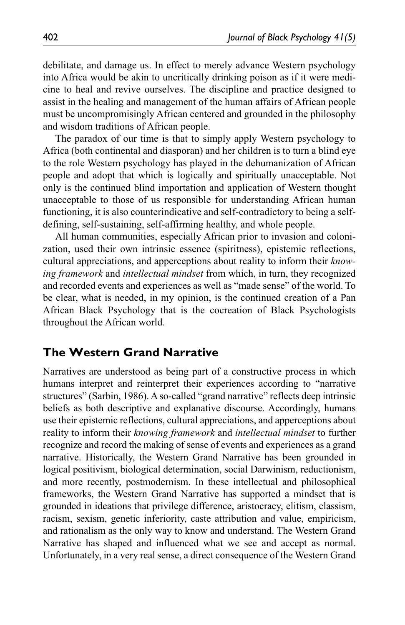debilitate, and damage us. In effect to merely advance Western psychology into Africa would be akin to uncritically drinking poison as if it were medicine to heal and revive ourselves. The discipline and practice designed to assist in the healing and management of the human affairs of African people must be uncompromisingly African centered and grounded in the philosophy and wisdom traditions of African people.

The paradox of our time is that to simply apply Western psychology to Africa (both continental and diasporan) and her children is to turn a blind eye to the role Western psychology has played in the dehumanization of African people and adopt that which is logically and spiritually unacceptable. Not only is the continued blind importation and application of Western thought unacceptable to those of us responsible for understanding African human functioning, it is also counterindicative and self-contradictory to being a selfdefining, self-sustaining, self-affirming healthy, and whole people.

All human communities, especially African prior to invasion and colonization, used their own intrinsic essence (spiritness), epistemic reflections, cultural appreciations, and apperceptions about reality to inform their *knowing framework* and *intellectual mindset* from which, in turn, they recognized and recorded events and experiences as well as "made sense" of the world. To be clear, what is needed, in my opinion, is the continued creation of a Pan African Black Psychology that is the cocreation of Black Psychologists throughout the African world.

## **The Western Grand Narrative**

Narratives are understood as being part of a constructive process in which humans interpret and reinterpret their experiences according to "narrative structures" (Sarbin, 1986). A so-called "grand narrative" reflects deep intrinsic beliefs as both descriptive and explanative discourse. Accordingly, humans use their epistemic reflections, cultural appreciations, and apperceptions about reality to inform their *knowing framework* and *intellectual mindset* to further recognize and record the making of sense of events and experiences as a grand narrative. Historically, the Western Grand Narrative has been grounded in logical positivism, biological determination, social Darwinism, reductionism, and more recently, postmodernism. In these intellectual and philosophical frameworks, the Western Grand Narrative has supported a mindset that is grounded in ideations that privilege difference, aristocracy, elitism, classism, racism, sexism, genetic inferiority, caste attribution and value, empiricism, and rationalism as the only way to know and understand. The Western Grand Narrative has shaped and influenced what we see and accept as normal. Unfortunately, in a very real sense, a direct consequence of the Western Grand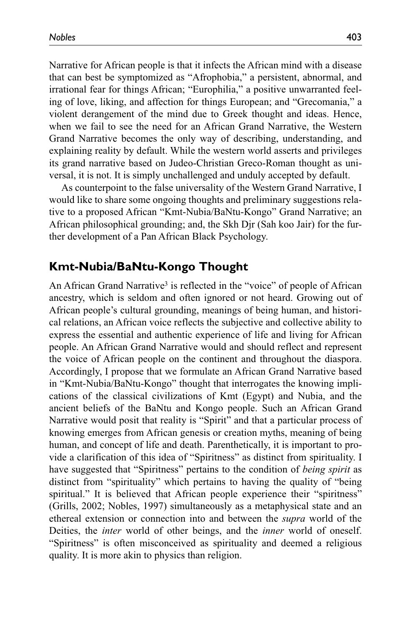Narrative for African people is that it infects the African mind with a disease that can best be symptomized as "Afrophobia," a persistent, abnormal, and irrational fear for things African; "Europhilia," a positive unwarranted feeling of love, liking, and affection for things European; and "Grecomania," a violent derangement of the mind due to Greek thought and ideas. Hence, when we fail to see the need for an African Grand Narrative, the Western Grand Narrative becomes the only way of describing, understanding, and explaining reality by default. While the western world asserts and privileges its grand narrative based on Judeo-Christian Greco-Roman thought as universal, it is not. It is simply unchallenged and unduly accepted by default.

As counterpoint to the false universality of the Western Grand Narrative, I would like to share some ongoing thoughts and preliminary suggestions relative to a proposed African "Kmt-Nubia/BaNtu-Kongo" Grand Narrative; an African philosophical grounding; and, the Skh Djr (Sah koo Jair) for the further development of a Pan African Black Psychology.

## **Kmt-Nubia/BaNtu-Kongo Thought**

An African Grand Narrative<sup>3</sup> is reflected in the "voice" of people of African ancestry, which is seldom and often ignored or not heard. Growing out of African people's cultural grounding, meanings of being human, and historical relations, an African voice reflects the subjective and collective ability to express the essential and authentic experience of life and living for African people. An African Grand Narrative would and should reflect and represent the voice of African people on the continent and throughout the diaspora. Accordingly, I propose that we formulate an African Grand Narrative based in "Kmt-Nubia/BaNtu-Kongo" thought that interrogates the knowing implications of the classical civilizations of Kmt (Egypt) and Nubia, and the ancient beliefs of the BaNtu and Kongo people. Such an African Grand Narrative would posit that reality is "Spirit" and that a particular process of knowing emerges from African genesis or creation myths, meaning of being human, and concept of life and death. Parenthetically, it is important to provide a clarification of this idea of "Spiritness" as distinct from spirituality. I have suggested that "Spiritness" pertains to the condition of *being spirit* as distinct from "spirituality" which pertains to having the quality of "being spiritual." It is believed that African people experience their "spiritness" (Grills, 2002; Nobles, 1997) simultaneously as a metaphysical state and an ethereal extension or connection into and between the *supra* world of the Deities, the *inter* world of other beings, and the *inner* world of oneself. "Spiritness" is often misconceived as spirituality and deemed a religious quality. It is more akin to physics than religion.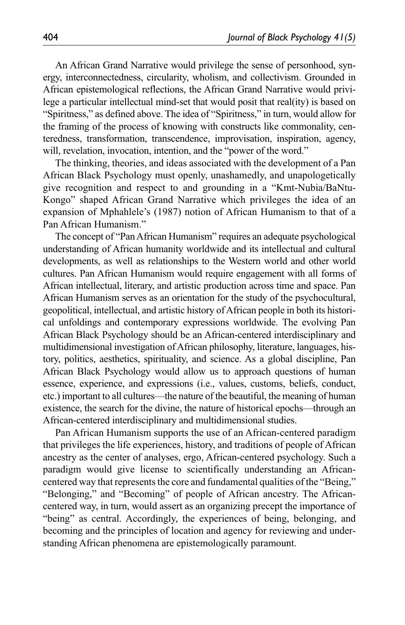An African Grand Narrative would privilege the sense of personhood, synergy, interconnectedness, circularity, wholism, and collectivism. Grounded in African epistemological reflections, the African Grand Narrative would privilege a particular intellectual mind-set that would posit that real(ity) is based on "Spiritness," as defined above. The idea of "Spiritness," in turn, would allow for the framing of the process of knowing with constructs like commonality, centeredness, transformation, transcendence, improvisation, inspiration, agency, will, revelation, invocation, intention, and the "power of the word."

The thinking, theories, and ideas associated with the development of a Pan African Black Psychology must openly, unashamedly, and unapologetically give recognition and respect to and grounding in a "Kmt-Nubia/BaNtu-Kongo" shaped African Grand Narrative which privileges the idea of an expansion of Mphahlele's (1987) notion of African Humanism to that of a Pan African Humanism."

The concept of "Pan African Humanism" requires an adequate psychological understanding of African humanity worldwide and its intellectual and cultural developments, as well as relationships to the Western world and other world cultures. Pan African Humanism would require engagement with all forms of African intellectual, literary, and artistic production across time and space. Pan African Humanism serves as an orientation for the study of the psychocultural, geopolitical, intellectual, and artistic history of African people in both its historical unfoldings and contemporary expressions worldwide. The evolving Pan African Black Psychology should be an African-centered interdisciplinary and multidimensional investigation of African philosophy, literature, languages, history, politics, aesthetics, spirituality, and science. As a global discipline, Pan African Black Psychology would allow us to approach questions of human essence, experience, and expressions (i.e., values, customs, beliefs, conduct, etc.) important to all cultures—the nature of the beautiful, the meaning of human existence, the search for the divine, the nature of historical epochs—through an African-centered interdisciplinary and multidimensional studies.

Pan African Humanism supports the use of an African-centered paradigm that privileges the life experiences, history, and traditions of people of African ancestry as the center of analyses, ergo, African-centered psychology. Such a paradigm would give license to scientifically understanding an Africancentered way that represents the core and fundamental qualities of the "Being," "Belonging," and "Becoming" of people of African ancestry. The Africancentered way, in turn, would assert as an organizing precept the importance of "being" as central. Accordingly, the experiences of being, belonging, and becoming and the principles of location and agency for reviewing and understanding African phenomena are epistemologically paramount.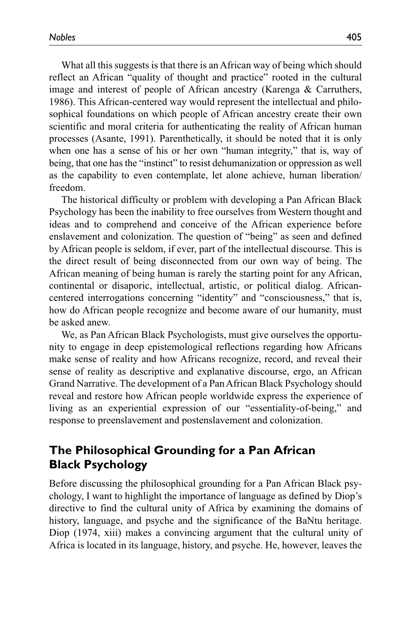What all this suggests is that there is an African way of being which should reflect an African "quality of thought and practice" rooted in the cultural image and interest of people of African ancestry (Karenga & Carruthers, 1986). This African-centered way would represent the intellectual and philosophical foundations on which people of African ancestry create their own scientific and moral criteria for authenticating the reality of African human processes (Asante, 1991). Parenthetically, it should be noted that it is only when one has a sense of his or her own "human integrity," that is, way of being, that one has the "instinct" to resist dehumanization or oppression as well as the capability to even contemplate, let alone achieve, human liberation/ freedom.

The historical difficulty or problem with developing a Pan African Black Psychology has been the inability to free ourselves from Western thought and ideas and to comprehend and conceive of the African experience before enslavement and colonization. The question of "being" as seen and defined by African people is seldom, if ever, part of the intellectual discourse. This is the direct result of being disconnected from our own way of being. The African meaning of being human is rarely the starting point for any African, continental or disaporic, intellectual, artistic, or political dialog. Africancentered interrogations concerning "identity" and "consciousness," that is, how do African people recognize and become aware of our humanity, must be asked anew.

We, as Pan African Black Psychologists, must give ourselves the opportunity to engage in deep epistemological reflections regarding how Africans make sense of reality and how Africans recognize, record, and reveal their sense of reality as descriptive and explanative discourse, ergo, an African Grand Narrative. The development of a Pan African Black Psychology should reveal and restore how African people worldwide express the experience of living as an experiential expression of our "essentiality-of-being," and response to preenslavement and postenslavement and colonization.

# **The Philosophical Grounding for a Pan African Black Psychology**

Before discussing the philosophical grounding for a Pan African Black psychology, I want to highlight the importance of language as defined by Diop's directive to find the cultural unity of Africa by examining the domains of history, language, and psyche and the significance of the BaNtu heritage. Diop (1974, xiii) makes a convincing argument that the cultural unity of Africa is located in its language, history, and psyche. He, however, leaves the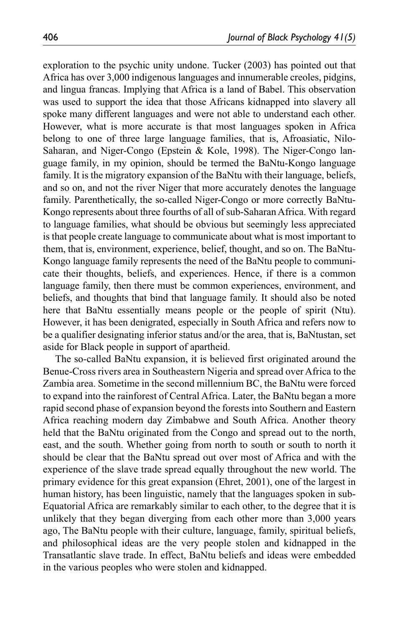exploration to the psychic unity undone. Tucker (2003) has pointed out that Africa has over 3,000 indigenous languages and innumerable creoles, pidgins, and lingua francas. Implying that Africa is a land of Babel. This observation was used to support the idea that those Africans kidnapped into slavery all spoke many different languages and were not able to understand each other. However, what is more accurate is that most languages spoken in Africa belong to one of three large language families, that is, Afroasiatic, Nilo-Saharan, and Niger-Congo (Epstein & Kole, 1998). The Niger-Congo language family, in my opinion, should be termed the BaNtu-Kongo language family. It is the migratory expansion of the BaNtu with their language, beliefs, and so on, and not the river Niger that more accurately denotes the language family. Parenthetically, the so-called Niger-Congo or more correctly BaNtu-Kongo represents about three fourths of all of sub-Saharan Africa. With regard to language families, what should be obvious but seemingly less appreciated is that people create language to communicate about what is most important to them, that is, environment, experience, belief, thought, and so on. The BaNtu-Kongo language family represents the need of the BaNtu people to communicate their thoughts, beliefs, and experiences. Hence, if there is a common language family, then there must be common experiences, environment, and beliefs, and thoughts that bind that language family. It should also be noted here that BaNtu essentially means people or the people of spirit (Ntu). However, it has been denigrated, especially in South Africa and refers now to be a qualifier designating inferior status and/or the area, that is, BaNtustan, set aside for Black people in support of apartheid.

The so-called BaNtu expansion, it is believed first originated around the Benue-Cross rivers area in Southeastern Nigeria and spread over Africa to the Zambia area. Sometime in the second millennium BC, the BaNtu were forced to expand into the rainforest of Central Africa. Later, the BaNtu began a more rapid second phase of expansion beyond the forests into Southern and Eastern Africa reaching modern day Zimbabwe and South Africa. Another theory held that the BaNtu originated from the Congo and spread out to the north, east, and the south. Whether going from north to south or south to north it should be clear that the BaNtu spread out over most of Africa and with the experience of the slave trade spread equally throughout the new world. The primary evidence for this great expansion (Ehret, 2001), one of the largest in human history, has been linguistic, namely that the languages spoken in sub-Equatorial Africa are remarkably similar to each other, to the degree that it is unlikely that they began diverging from each other more than 3,000 years ago, The BaNtu people with their culture, language, family, spiritual beliefs, and philosophical ideas are the very people stolen and kidnapped in the Transatlantic slave trade. In effect, BaNtu beliefs and ideas were embedded in the various peoples who were stolen and kidnapped.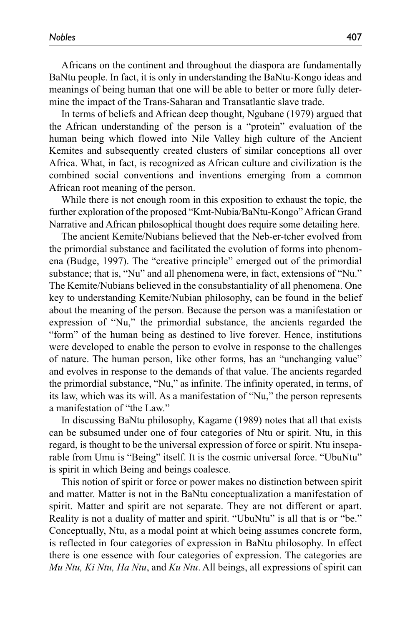Africans on the continent and throughout the diaspora are fundamentally BaNtu people. In fact, it is only in understanding the BaNtu-Kongo ideas and meanings of being human that one will be able to better or more fully determine the impact of the Trans-Saharan and Transatlantic slave trade.

In terms of beliefs and African deep thought, Ngubane (1979) argued that the African understanding of the person is a "protein" evaluation of the human being which flowed into Nile Valley high culture of the Ancient Kemites and subsequently created clusters of similar conceptions all over Africa. What, in fact, is recognized as African culture and civilization is the combined social conventions and inventions emerging from a common African root meaning of the person.

While there is not enough room in this exposition to exhaust the topic, the further exploration of the proposed "Kmt-Nubia/BaNtu-Kongo" African Grand Narrative and African philosophical thought does require some detailing here.

The ancient Kemite/Nubians believed that the Neb-er-tcher evolved from the primordial substance and facilitated the evolution of forms into phenomena (Budge, 1997). The "creative principle" emerged out of the primordial substance; that is, "Nu" and all phenomena were, in fact, extensions of "Nu." The Kemite/Nubians believed in the consubstantiality of all phenomena. One key to understanding Kemite/Nubian philosophy, can be found in the belief about the meaning of the person. Because the person was a manifestation or expression of "Nu," the primordial substance, the ancients regarded the "form" of the human being as destined to live forever. Hence, institutions were developed to enable the person to evolve in response to the challenges of nature. The human person, like other forms, has an "unchanging value" and evolves in response to the demands of that value. The ancients regarded the primordial substance, "Nu," as infinite. The infinity operated, in terms, of its law, which was its will. As a manifestation of "Nu," the person represents a manifestation of "the Law."

In discussing BaNtu philosophy, Kagame (1989) notes that all that exists can be subsumed under one of four categories of Ntu or spirit. Ntu, in this regard, is thought to be the universal expression of force or spirit. Ntu inseparable from Umu is "Being" itself. It is the cosmic universal force. "UbuNtu" is spirit in which Being and beings coalesce.

This notion of spirit or force or power makes no distinction between spirit and matter. Matter is not in the BaNtu conceptualization a manifestation of spirit. Matter and spirit are not separate. They are not different or apart. Reality is not a duality of matter and spirit. "UbuNtu" is all that is or "be." Conceptually, Ntu, as a modal point at which being assumes concrete form, is reflected in four categories of expression in BaNtu philosophy. In effect there is one essence with four categories of expression. The categories are *Mu Ntu, Ki Ntu, Ha Ntu*, and *Ku Ntu*. All beings, all expressions of spirit can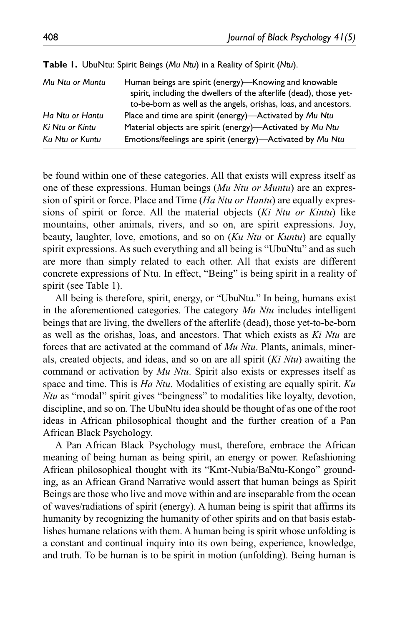| Mu Ntu or Muntu | Human beings are spirit (energy)—Knowing and knowable<br>spirit, including the dwellers of the afterlife (dead), those yet-<br>to-be-born as well as the angels, orishas, loas, and ancestors. |
|-----------------|------------------------------------------------------------------------------------------------------------------------------------------------------------------------------------------------|
| Ha Ntu or Hantu | Place and time are spirit (energy)—Activated by Mu Ntu                                                                                                                                         |
| Ki Ntu or Kintu | Material objects are spirit (energy)—Activated by Mu Ntu                                                                                                                                       |
| Ku Ntu or Kuntu | Emotions/feelings are spirit (energy)—Activated by Mu Ntu                                                                                                                                      |

**Table 1.** UbuNtu: Spirit Beings (*Mu Ntu*) in a Reality of Spirit (*Ntu*).

be found within one of these categories. All that exists will express itself as one of these expressions. Human beings (*Mu Ntu or Muntu*) are an expression of spirit or force. Place and Time (*Ha Ntu or Hantu*) are equally expressions of spirit or force. All the material objects (*Ki Ntu or Kintu*) like mountains, other animals, rivers, and so on, are spirit expressions. Joy, beauty, laughter, love, emotions, and so on (*Ku Ntu* or *Kuntu*) are equally spirit expressions. As such everything and all being is "UbuNtu" and as such are more than simply related to each other. All that exists are different concrete expressions of Ntu. In effect, "Being" is being spirit in a reality of spirit (see Table 1).

All being is therefore, spirit, energy, or "UbuNtu." In being, humans exist in the aforementioned categories. The category *Mu Ntu* includes intelligent beings that are living, the dwellers of the afterlife (dead), those yet-to-be-born as well as the orishas, loas, and ancestors. That which exists as *Ki Ntu* are forces that are activated at the command of *Mu Ntu*. Plants, animals, minerals, created objects, and ideas, and so on are all spirit (*Ki Ntu*) awaiting the command or activation by *Mu Ntu*. Spirit also exists or expresses itself as space and time. This is *Ha Ntu*. Modalities of existing are equally spirit. *Ku Ntu* as "modal" spirit gives "beingness" to modalities like loyalty, devotion, discipline, and so on. The UbuNtu idea should be thought of as one of the root ideas in African philosophical thought and the further creation of a Pan African Black Psychology.

A Pan African Black Psychology must, therefore, embrace the African meaning of being human as being spirit, an energy or power. Refashioning African philosophical thought with its "Kmt-Nubia/BaNtu-Kongo" grounding, as an African Grand Narrative would assert that human beings as Spirit Beings are those who live and move within and are inseparable from the ocean of waves/radiations of spirit (energy). A human being is spirit that affirms its humanity by recognizing the humanity of other spirits and on that basis establishes humane relations with them. A human being is spirit whose unfolding is a constant and continual inquiry into its own being, experience, knowledge, and truth. To be human is to be spirit in motion (unfolding). Being human is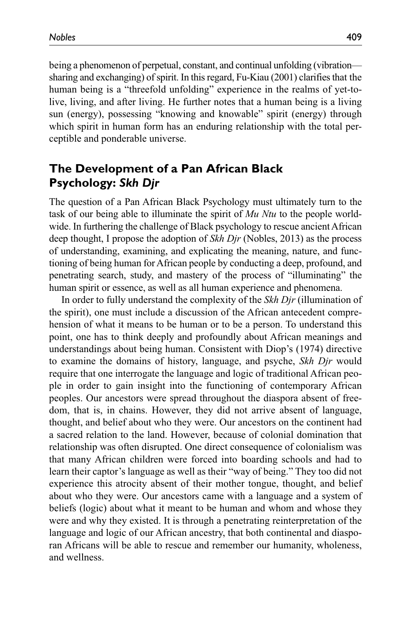being a phenomenon of perpetual, constant, and continual unfolding (vibration sharing and exchanging) of spirit. In this regard, Fu-Kiau (2001) clarifies that the human being is a "threefold unfolding" experience in the realms of yet-tolive, living, and after living. He further notes that a human being is a living sun (energy), possessing "knowing and knowable" spirit (energy) through which spirit in human form has an enduring relationship with the total perceptible and ponderable universe.

# **The Development of a Pan African Black Psychology:** *Skh Djr*

The question of a Pan African Black Psychology must ultimately turn to the task of our being able to illuminate the spirit of *Mu Ntu* to the people worldwide. In furthering the challenge of Black psychology to rescue ancient African deep thought, I propose the adoption of *Skh Djr* (Nobles, 2013) as the process of understanding, examining, and explicating the meaning, nature, and functioning of being human for African people by conducting a deep, profound, and penetrating search, study, and mastery of the process of "illuminating" the human spirit or essence, as well as all human experience and phenomena.

In order to fully understand the complexity of the *Skh Djr* (illumination of the spirit), one must include a discussion of the African antecedent comprehension of what it means to be human or to be a person. To understand this point, one has to think deeply and profoundly about African meanings and understandings about being human. Consistent with Diop's (1974) directive to examine the domains of history, language, and psyche, *Skh Djr* would require that one interrogate the language and logic of traditional African people in order to gain insight into the functioning of contemporary African peoples. Our ancestors were spread throughout the diaspora absent of freedom, that is, in chains. However, they did not arrive absent of language, thought, and belief about who they were. Our ancestors on the continent had a sacred relation to the land. However, because of colonial domination that relationship was often disrupted. One direct consequence of colonialism was that many African children were forced into boarding schools and had to learn their captor's language as well as their "way of being." They too did not experience this atrocity absent of their mother tongue, thought, and belief about who they were. Our ancestors came with a language and a system of beliefs (logic) about what it meant to be human and whom and whose they were and why they existed. It is through a penetrating reinterpretation of the language and logic of our African ancestry, that both continental and diasporan Africans will be able to rescue and remember our humanity, wholeness, and wellness.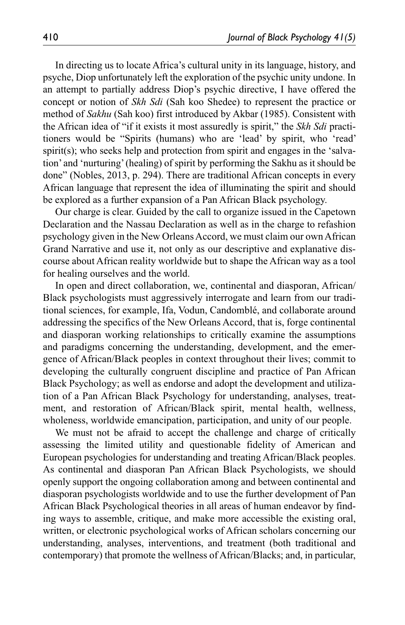In directing us to locate Africa's cultural unity in its language, history, and psyche, Diop unfortunately left the exploration of the psychic unity undone. In an attempt to partially address Diop's psychic directive, I have offered the concept or notion of *Skh Sdi* (Sah koo Shedee) to represent the practice or method of *Sakhu* (Sah koo) first introduced by Akbar (1985). Consistent with the African idea of "if it exists it most assuredly is spirit," the *Skh Sdi* practitioners would be "Spirits (humans) who are 'lead' by spirit, who 'read' spirit(s); who seeks help and protection from spirit and engages in the 'salvation' and 'nurturing' (healing) of spirit by performing the Sakhu as it should be done" (Nobles, 2013, p. 294). There are traditional African concepts in every African language that represent the idea of illuminating the spirit and should be explored as a further expansion of a Pan African Black psychology.

Our charge is clear. Guided by the call to organize issued in the Capetown Declaration and the Nassau Declaration as well as in the charge to refashion psychology given in the New Orleans Accord, we must claim our own African Grand Narrative and use it, not only as our descriptive and explanative discourse about African reality worldwide but to shape the African way as a tool for healing ourselves and the world.

In open and direct collaboration, we, continental and diasporan, African/ Black psychologists must aggressively interrogate and learn from our traditional sciences, for example, Ifa, Vodun, Candomblé, and collaborate around addressing the specifics of the New Orleans Accord, that is, forge continental and diasporan working relationships to critically examine the assumptions and paradigms concerning the understanding, development, and the emergence of African/Black peoples in context throughout their lives; commit to developing the culturally congruent discipline and practice of Pan African Black Psychology; as well as endorse and adopt the development and utilization of a Pan African Black Psychology for understanding, analyses, treatment, and restoration of African/Black spirit, mental health, wellness, wholeness, worldwide emancipation, participation, and unity of our people.

We must not be afraid to accept the challenge and charge of critically assessing the limited utility and questionable fidelity of American and European psychologies for understanding and treating African/Black peoples. As continental and diasporan Pan African Black Psychologists, we should openly support the ongoing collaboration among and between continental and diasporan psychologists worldwide and to use the further development of Pan African Black Psychological theories in all areas of human endeavor by finding ways to assemble, critique, and make more accessible the existing oral, written, or electronic psychological works of African scholars concerning our understanding, analyses, interventions, and treatment (both traditional and contemporary) that promote the wellness of African/Blacks; and, in particular,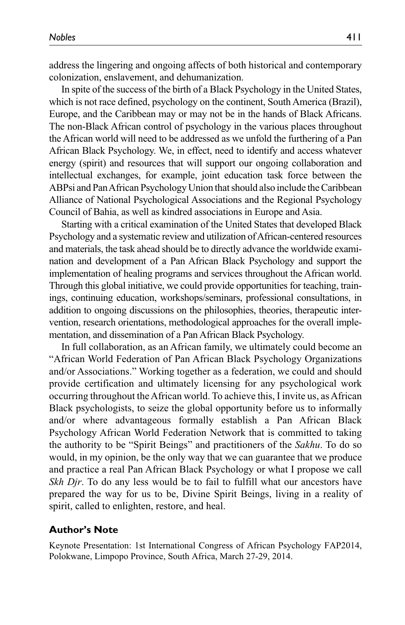address the lingering and ongoing affects of both historical and contemporary colonization, enslavement, and dehumanization.

In spite of the success of the birth of a Black Psychology in the United States, which is not race defined, psychology on the continent, South America (Brazil), Europe, and the Caribbean may or may not be in the hands of Black Africans. The non-Black African control of psychology in the various places throughout the African world will need to be addressed as we unfold the furthering of a Pan African Black Psychology. We, in effect, need to identify and access whatever energy (spirit) and resources that will support our ongoing collaboration and intellectual exchanges, for example, joint education task force between the ABPsi and Pan African Psychology Union that should also include the Caribbean Alliance of National Psychological Associations and the Regional Psychology Council of Bahia, as well as kindred associations in Europe and Asia.

Starting with a critical examination of the United States that developed Black Psychology and a systematic review and utilization of African-centered resources and materials, the task ahead should be to directly advance the worldwide examination and development of a Pan African Black Psychology and support the implementation of healing programs and services throughout the African world. Through this global initiative, we could provide opportunities for teaching, trainings, continuing education, workshops/seminars, professional consultations, in addition to ongoing discussions on the philosophies, theories, therapeutic intervention, research orientations, methodological approaches for the overall implementation, and dissemination of a Pan African Black Psychology.

In full collaboration, as an African family, we ultimately could become an "African World Federation of Pan African Black Psychology Organizations and/or Associations." Working together as a federation, we could and should provide certification and ultimately licensing for any psychological work occurring throughout the African world. To achieve this, I invite us, as African Black psychologists, to seize the global opportunity before us to informally and/or where advantageous formally establish a Pan African Black Psychology African World Federation Network that is committed to taking the authority to be "Spirit Beings" and practitioners of the *Sakhu*. To do so would, in my opinion, be the only way that we can guarantee that we produce and practice a real Pan African Black Psychology or what I propose we call *Skh Djr*. To do any less would be to fail to fulfill what our ancestors have prepared the way for us to be, Divine Spirit Beings, living in a reality of spirit, called to enlighten, restore, and heal.

#### **Author's Note**

Keynote Presentation: 1st International Congress of African Psychology FAP2014, Polokwane, Limpopo Province, South Africa, March 27-29, 2014.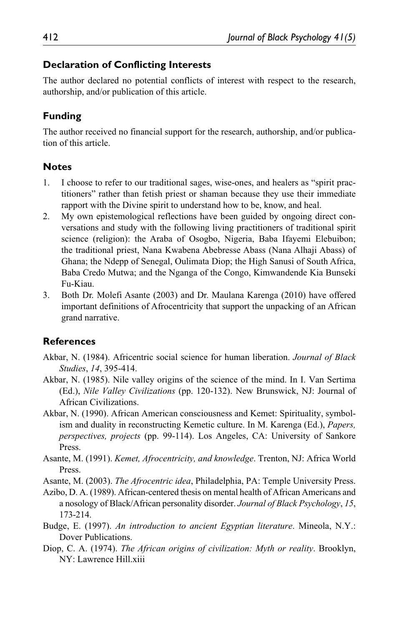### **Declaration of Conflicting Interests**

The author declared no potential conflicts of interest with respect to the research, authorship, and/or publication of this article.

## **Funding**

The author received no financial support for the research, authorship, and/or publication of this article.

### **Notes**

- 1. I choose to refer to our traditional sages, wise-ones, and healers as "spirit practitioners" rather than fetish priest or shaman because they use their immediate rapport with the Divine spirit to understand how to be, know, and heal.
- 2. My own epistemological reflections have been guided by ongoing direct conversations and study with the following living practitioners of traditional spirit science (religion): the Araba of Osogbo, Nigeria, Baba Ifayemi Elebuibon; the traditional priest, Nana Kwabena Abebresse Abass (Nana Alhaji Abass) of Ghana; the Ndepp of Senegal, Oulimata Diop; the High Sanusi of South Africa, Baba Credo Mutwa; and the Nganga of the Congo, Kimwandende Kia Bunseki Fu-Kiau.
- 3. Both Dr. Molefi Asante (2003) and Dr. Maulana Karenga (2010) have offered important definitions of Afrocentricity that support the unpacking of an African grand narrative.

## **References**

- Akbar, N. (1984). Africentric social science for human liberation. *Journal of Black Studies*, *14*, 395-414.
- Akbar, N. (1985). Nile valley origins of the science of the mind. In I. Van Sertima (Ed.), *Nile Valley Civilizations* (pp. 120-132). New Brunswick, NJ: Journal of African Civilizations.
- Akbar, N. (1990). African American consciousness and Kemet: Spirituality, symbolism and duality in reconstructing Kemetic culture. In M. Karenga (Ed.), *Papers, perspectives, projects* (pp. 99-114). Los Angeles, CA: University of Sankore Press.
- Asante, M. (1991). *Kemet, Afrocentricity, and knowledge*. Trenton, NJ: Africa World Press.

Asante, M. (2003). *The Afrocentric idea*, Philadelphia, PA: Temple University Press.

- Azibo, D. A. (1989). African-centered thesis on mental health of African Americans and a nosology of Black/African personality disorder. *Journal of Black Psychology*, *15*, 173-214.
- Budge, E. (1997). *An introduction to ancient Egyptian literature*. Mineola, N.Y.: Dover Publications.
- Diop, C. A. (1974). *The African origins of civilization: Myth or reality*. Brooklyn, NY<sup>.</sup> Lawrence Hill xiii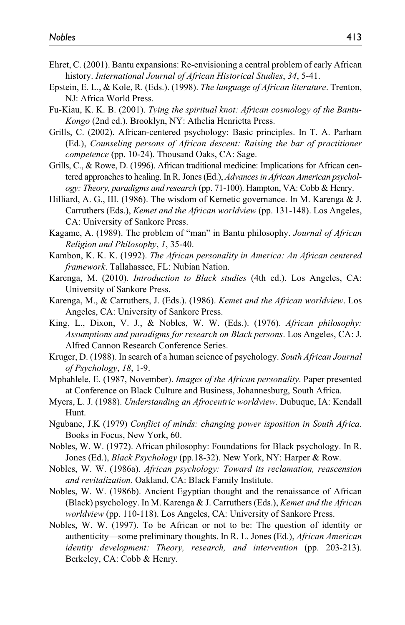- Ehret, C. (2001). Bantu expansions: Re-envisioning a central problem of early African history. *International Journal of African Historical Studies*, *34*, 5-41.
- Epstein, E. L., & Kole, R. (Eds.). (1998). *The language of African literature*. Trenton, NJ: Africa World Press.
- Fu-Kiau, K. K. B. (2001). *Tying the spiritual knot: African cosmology of the Bantu-Kongo* (2nd ed.). Brooklyn, NY: Athelia Henrietta Press.
- Grills, C. (2002). African-centered psychology: Basic principles. In T. A. Parham (Ed.), *Counseling persons of African descent: Raising the bar of practitioner competence* (pp. 10-24). Thousand Oaks, CA: Sage.
- Grills, C., & Rowe, D. (1996). African traditional medicine: Implications for African centered approaches to healing. In R. Jones (Ed.), *Advances in African American psychology: Theory, paradigms and research* (pp. 71-100). Hampton, VA: Cobb & Henry.
- Hilliard, A. G., III. (1986). The wisdom of Kemetic governance. In M. Karenga & J. Carruthers (Eds.), *Kemet and the African worldview* (pp. 131-148). Los Angeles, CA: University of Sankore Press.
- Kagame, A. (1989). The problem of "man" in Bantu philosophy. *Journal of African Religion and Philosophy*, *1*, 35-40.
- Kambon, K. K. K. (1992). *The African personality in America: An African centered framework*. Tallahassee, FL: Nubian Nation.
- Karenga, M. (2010). *Introduction to Black studies* (4th ed.). Los Angeles, CA: University of Sankore Press.
- Karenga, M., & Carruthers, J. (Eds.). (1986). *Kemet and the African worldview*. Los Angeles, CA: University of Sankore Press.
- King, L., Dixon, V. J., & Nobles, W. W. (Eds.). (1976). *African philosophy: Assumptions and paradigms for research on Black persons*. Los Angeles, CA: J. Alfred Cannon Research Conference Series.
- Kruger, D. (1988). In search of a human science of psychology. *South African Journal of Psychology*, *18*, 1-9.
- Mphahlele, E. (1987, November). *Images of the African personality*. Paper presented at Conference on Black Culture and Business, Johannesburg, South Africa.
- Myers, L. J. (1988). *Understanding an Afrocentric worldview*. Dubuque, IA: Kendall Hunt.
- Ngubane, J.K (1979) *Conflict of minds: changing power isposition in South Africa*. Books in Focus, New York, 60.
- Nobles, W. W. (1972). African philosophy: Foundations for Black psychology. In R. Jones (Ed.), *Black Psychology* (pp.18-32). New York, NY: Harper & Row.
- Nobles, W. W. (1986a). *African psychology: Toward its reclamation, reascension and revitalization*. Oakland, CA: Black Family Institute.
- Nobles, W. W. (1986b). Ancient Egyptian thought and the renaissance of African (Black) psychology. In M. Karenga & J. Carruthers (Eds.), *Kemet and the African worldview* (pp. 110-118). Los Angeles, CA: University of Sankore Press.
- Nobles, W. W. (1997). To be African or not to be: The question of identity or authenticity—some preliminary thoughts. In R. L. Jones (Ed.), *African American identity development: Theory, research, and intervention* (pp. 203-213). Berkeley, CA: Cobb & Henry.